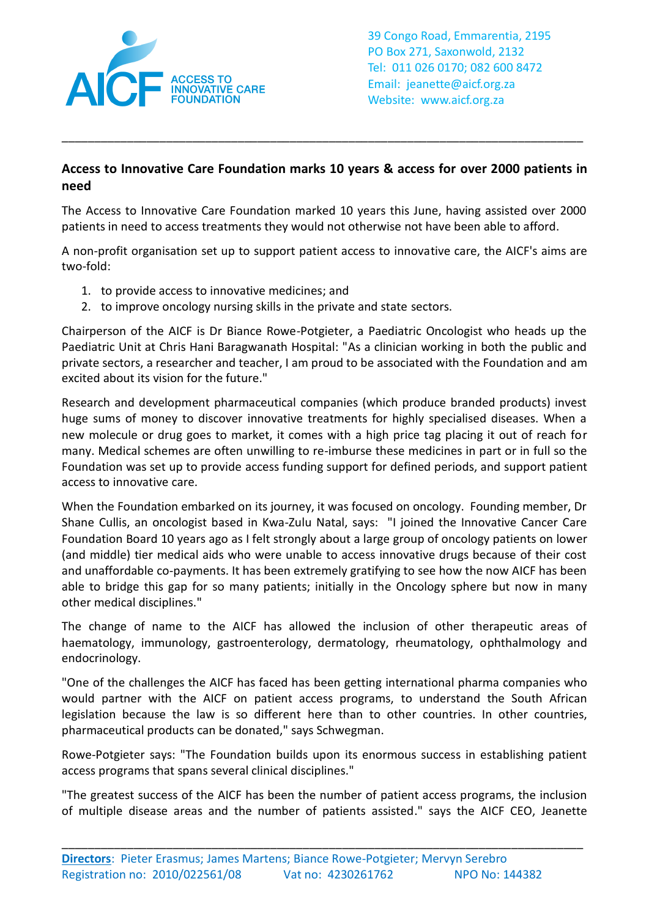

39 Congo Road, Emmarentia, 2195 PO Box 271, Saxonwold, 2132 Tel: 011 026 0170; 082 600 8472 Email: jeanette@aicf.org.za Website: www.aicf.org.za

## **Access to Innovative Care Foundation marks 10 years & access for over 2000 patients in need**

\_\_\_\_\_\_\_\_\_\_\_\_\_\_\_\_\_\_\_\_\_\_\_\_\_\_\_\_\_\_\_\_\_\_\_\_\_\_\_\_\_\_\_\_\_\_\_\_\_\_\_\_\_\_\_\_\_\_\_\_\_\_\_\_\_\_\_\_\_\_\_\_\_\_\_\_\_\_\_\_

The Access to Innovative Care Foundation marked 10 years this June, having assisted over 2000 patients in need to access treatments they would not otherwise not have been able to afford.

A non-profit organisation set up to support patient access to innovative care, the AICF's aims are two-fold:

- 1. to provide access to innovative medicines; and
- 2. to improve oncology nursing skills in the private and state sectors.

Chairperson of the AICF is Dr Biance Rowe-Potgieter, a Paediatric Oncologist who heads up the Paediatric Unit at Chris Hani Baragwanath Hospital: "As a clinician working in both the public and private sectors, a researcher and teacher, I am proud to be associated with the Foundation and am excited about its vision for the future."

Research and development pharmaceutical companies (which produce branded products) invest huge sums of money to discover innovative treatments for highly specialised diseases. When a new molecule or drug goes to market, it comes with a high price tag placing it out of reach for many. Medical schemes are often unwilling to re-imburse these medicines in part or in full so the Foundation was set up to provide access funding support for defined periods, and support patient access to innovative care.

When the Foundation embarked on its journey, it was focused on oncology. Founding member, Dr Shane Cullis, an oncologist based in Kwa-Zulu Natal, says: "I joined the Innovative Cancer Care Foundation Board 10 years ago as I felt strongly about a large group of oncology patients on lower (and middle) tier medical aids who were unable to access innovative drugs because of their cost and unaffordable co-payments. It has been extremely gratifying to see how the now AICF has been able to bridge this gap for so many patients; initially in the Oncology sphere but now in many other medical disciplines."

The change of name to the AICF has allowed the inclusion of other therapeutic areas of haematology, immunology, gastroenterology, dermatology, rheumatology, ophthalmology and endocrinology.

"One of the challenges the AICF has faced has been getting international pharma companies who would partner with the AICF on patient access programs, to understand the South African legislation because the law is so different here than to other countries. In other countries, pharmaceutical products can be donated," says Schwegman.

Rowe-Potgieter says: "The Foundation builds upon its enormous success in establishing patient access programs that spans several clinical disciplines."

"The greatest success of the AICF has been the number of patient access programs, the inclusion of multiple disease areas and the number of patients assisted." says the AICF CEO, Jeanette

\_\_\_\_\_\_\_\_\_\_\_\_\_\_\_\_\_\_\_\_\_\_\_\_\_\_\_\_\_\_\_\_\_\_\_\_\_\_\_\_\_\_\_\_\_\_\_\_\_\_\_\_\_\_\_\_\_\_\_\_\_\_\_\_\_\_\_\_\_\_\_\_\_\_\_\_\_\_\_\_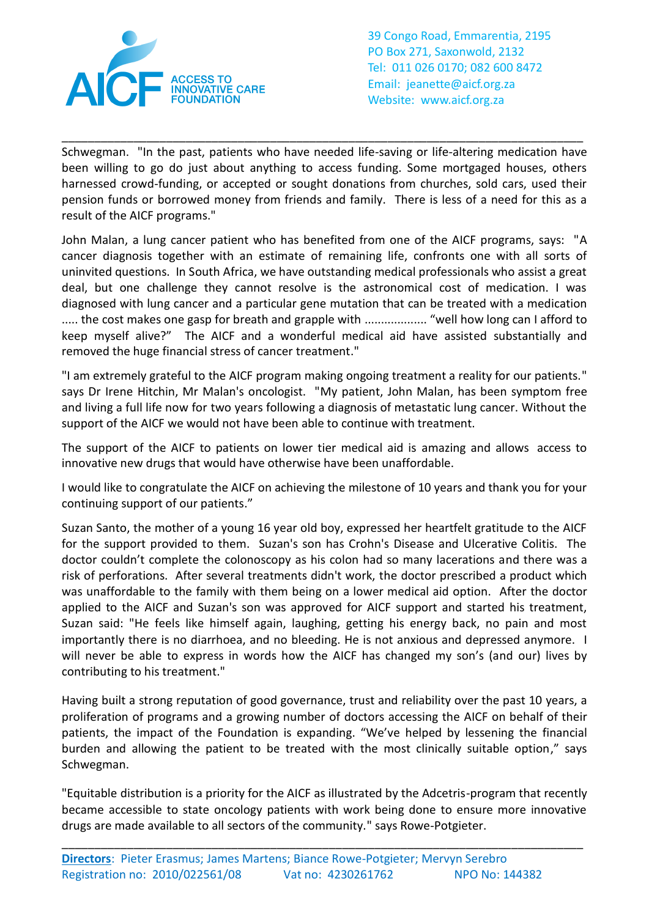

39 Congo Road, Emmarentia, 2195 PO Box 271, Saxonwold, 2132 Tel: 011 026 0170; 082 600 8472 Email: jeanette@aicf.org.za Website: www.aicf.org.za

Schwegman. "In the past, patients who have needed life-saving or life-altering medication have been willing to go do just about anything to access funding. Some mortgaged houses, others harnessed crowd-funding, or accepted or sought donations from churches, sold cars, used their pension funds or borrowed money from friends and family. There is less of a need for this as a result of the AICF programs."

\_\_\_\_\_\_\_\_\_\_\_\_\_\_\_\_\_\_\_\_\_\_\_\_\_\_\_\_\_\_\_\_\_\_\_\_\_\_\_\_\_\_\_\_\_\_\_\_\_\_\_\_\_\_\_\_\_\_\_\_\_\_\_\_\_\_\_\_\_\_\_\_\_\_\_\_\_\_\_\_

John Malan, a lung cancer patient who has benefited from one of the AICF programs, says: "A cancer diagnosis together with an estimate of remaining life, confronts one with all sorts of uninvited questions. In South Africa, we have outstanding medical professionals who assist a great deal, but one challenge they cannot resolve is the astronomical cost of medication. I was diagnosed with lung cancer and a particular gene mutation that can be treated with a medication ..... the cost makes one gasp for breath and grapple with ................... "well how long can I afford to keep myself alive?" The AICF and a wonderful medical aid have assisted substantially and removed the huge financial stress of cancer treatment."

"I am extremely grateful to the AICF program making ongoing treatment a reality for our patients." says Dr Irene Hitchin, Mr Malan's oncologist. "My patient, John Malan, has been symptom free and living a full life now for two years following a diagnosis of metastatic lung cancer. Without the support of the AICF we would not have been able to continue with treatment.

The support of the AICF to patients on lower tier medical aid is amazing and allows access to innovative new drugs that would have otherwise have been unaffordable.

I would like to congratulate the AICF on achieving the milestone of 10 years and thank you for your continuing support of our patients."

Suzan Santo, the mother of a young 16 year old boy, expressed her heartfelt gratitude to the AICF for the support provided to them. Suzan's son has Crohn's Disease and Ulcerative Colitis. The doctor couldn't complete the colonoscopy as his colon had so many lacerations and there was a risk of perforations. After several treatments didn't work, the doctor prescribed a product which was unaffordable to the family with them being on a lower medical aid option. After the doctor applied to the AICF and Suzan's son was approved for AICF support and started his treatment, Suzan said: "He feels like himself again, laughing, getting his energy back, no pain and most importantly there is no diarrhoea, and no bleeding. He is not anxious and depressed anymore. I will never be able to express in words how the AICF has changed my son's (and our) lives by contributing to his treatment."

Having built a strong reputation of good governance, trust and reliability over the past 10 years, a proliferation of programs and a growing number of doctors accessing the AICF on behalf of their patients, the impact of the Foundation is expanding. "We've helped by lessening the financial burden and allowing the patient to be treated with the most clinically suitable option," says Schwegman.

"Equitable distribution is a priority for the AICF as illustrated by the Adcetris-program that recently became accessible to state oncology patients with work being done to ensure more innovative drugs are made available to all sectors of the community." says Rowe-Potgieter.

\_\_\_\_\_\_\_\_\_\_\_\_\_\_\_\_\_\_\_\_\_\_\_\_\_\_\_\_\_\_\_\_\_\_\_\_\_\_\_\_\_\_\_\_\_\_\_\_\_\_\_\_\_\_\_\_\_\_\_\_\_\_\_\_\_\_\_\_\_\_\_\_\_\_\_\_\_\_\_\_